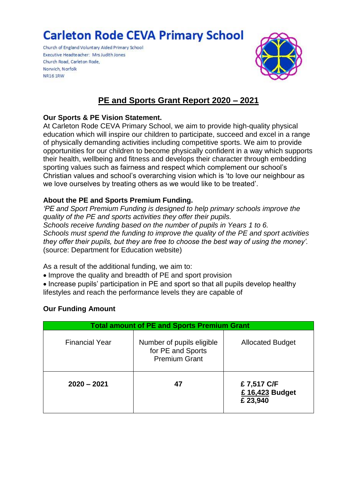# **Carleton Rode CEVA Primary School**

Church of England Voluntary Aided Primary School Executive Headteacher: Mrs Judith Jones Church Road, Carleton Rode, Norwich, Norfolk **NR161RW** 



# **PE and Sports Grant Report 2020 – 2021**

#### **Our Sports & PE Vision Statement.**

At Carleton Rode CEVA Primary School, we aim to provide high-quality physical education which will inspire our children to participate, succeed and excel in a range of physically demanding activities including competitive sports. We aim to provide opportunities for our children to become physically confident in a way which supports their health, wellbeing and fitness and develops their character through embedding sporting values such as fairness and respect which complement our school's Christian values and school's overarching vision which is 'to love our neighbour as we love ourselves by treating others as we would like to be treated'.

#### **About the PE and Sports Premium Funding.**

*'PE and Sport Premium Funding is designed to help primary schools improve the quality of the PE and sports activities they offer their pupils. Schools receive funding based on the number of pupils in Years 1 to 6. Schools must spend the funding to improve the quality of the PE and sport activities they offer their pupils, but they are free to choose the best way of using the money'.* (source: Department for Education website)

As a result of the additional funding, we aim to:

Improve the quality and breadth of PE and sport provision

• Increase pupils' participation in PE and sport so that all pupils develop healthy lifestyles and reach the performance levels they are capable of

#### **Our Funding Amount**

| <b>Total amount of PE and Sports Premium Grant</b> |                                                                        |                                           |  |  |  |
|----------------------------------------------------|------------------------------------------------------------------------|-------------------------------------------|--|--|--|
| <b>Financial Year</b>                              | Number of pupils eligible<br>for PE and Sports<br><b>Premium Grant</b> | <b>Allocated Budget</b>                   |  |  |  |
| $2020 - 2021$                                      | 47                                                                     | £7,517 C/F<br>£ 16,423 Budget<br>£ 23,940 |  |  |  |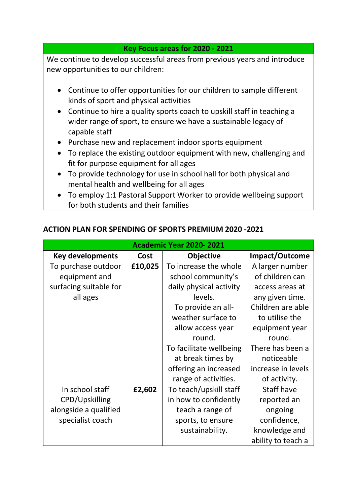### **Key Focus areas for 2020 - 2021**

We continue to develop successful areas from previous years and introduce new opportunities to our children:

- Continue to offer opportunities for our children to sample different kinds of sport and physical activities
- Continue to hire a quality sports coach to upskill staff in teaching a wider range of sport, to ensure we have a sustainable legacy of capable staff
- Purchase new and replacement indoor sports equipment
- To replace the existing outdoor equipment with new, challenging and fit for purpose equipment for all ages
- To provide technology for use in school hall for both physical and mental health and wellbeing for all ages
- To employ 1:1 Pastoral Support Worker to provide wellbeing support for both students and their families

| Academic Year 2020-2021 |         |                         |                    |  |
|-------------------------|---------|-------------------------|--------------------|--|
| <b>Key developments</b> | Cost    | <b>Objective</b>        | Impact/Outcome     |  |
| To purchase outdoor     | £10,025 | To increase the whole   | A larger number    |  |
| equipment and           |         | school community's      | of children can    |  |
| surfacing suitable for  |         | daily physical activity | access areas at    |  |
| all ages                |         | levels.                 | any given time.    |  |
|                         |         | To provide an all-      | Children are able  |  |
|                         |         | weather surface to      | to utilise the     |  |
|                         |         | allow access year       | equipment year     |  |
|                         |         | round.                  | round.             |  |
|                         |         | To facilitate wellbeing | There has been a   |  |
|                         |         | at break times by       | noticeable         |  |
|                         |         | offering an increased   | increase in levels |  |
|                         |         | range of activities.    | of activity.       |  |
| In school staff         | £2,602  | To teach/upskill staff  | Staff have         |  |
| CPD/Upskilling          |         | in how to confidently   | reported an        |  |
| alongside a qualified   |         | teach a range of        | ongoing            |  |
| specialist coach        |         | sports, to ensure       | confidence,        |  |
|                         |         | sustainability.         | knowledge and      |  |
|                         |         |                         | ability to teach a |  |

## **ACTION PLAN FOR SPENDING OF SPORTS PREMIUM 2020 -2021**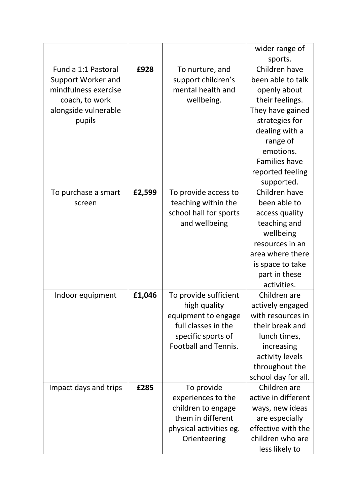|                       |        |                             | wider range of       |
|-----------------------|--------|-----------------------------|----------------------|
|                       |        |                             | sports.              |
| Fund a 1:1 Pastoral   | £928   | To nurture, and             | Children have        |
| Support Worker and    |        | support children's          | been able to talk    |
| mindfulness exercise  |        | mental health and           | openly about         |
| coach, to work        |        | wellbeing.                  | their feelings.      |
| alongside vulnerable  |        |                             | They have gained     |
| pupils                |        |                             | strategies for       |
|                       |        |                             | dealing with a       |
|                       |        |                             | range of             |
|                       |        |                             | emotions.            |
|                       |        |                             | <b>Families have</b> |
|                       |        |                             | reported feeling     |
|                       |        |                             | supported.           |
| To purchase a smart   | £2,599 | To provide access to        | Children have        |
| screen                |        | teaching within the         | been able to         |
|                       |        | school hall for sports      | access quality       |
|                       |        | and wellbeing               | teaching and         |
|                       |        |                             | wellbeing            |
|                       |        |                             | resources in an      |
|                       |        |                             | area where there     |
|                       |        |                             | is space to take     |
|                       |        |                             | part in these        |
|                       |        |                             | activities.          |
| Indoor equipment      | £1,046 | To provide sufficient       | Children are         |
|                       |        | high quality                | actively engaged     |
|                       |        | equipment to engage         | with resources in    |
|                       |        | full classes in the         | their break and      |
|                       |        | specific sports of          | lunch times,         |
|                       |        | <b>Football and Tennis.</b> | increasing           |
|                       |        |                             | activity levels      |
|                       |        |                             | throughout the       |
|                       |        |                             | school day for all.  |
| Impact days and trips | £285   | To provide                  | Children are         |
|                       |        | experiences to the          | active in different  |
|                       |        | children to engage          | ways, new ideas      |
|                       |        | them in different           | are especially       |
|                       |        | physical activities eg.     | effective with the   |
|                       |        | Orienteering                | children who are     |
|                       |        |                             | less likely to       |